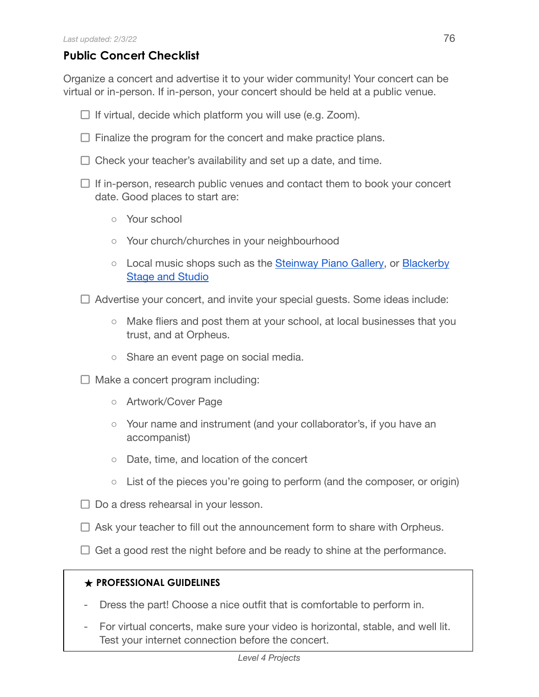## **Public Concert Checklist**

Organize a concert and advertise it to your wider community! Your concert can be virtual or in-person. If in-person, your concert should be held at a public venue.

- $\Box$  If virtual, decide which platform you will use (e.g. Zoom).
- $\Box$  Finalize the program for the concert and make practice plans.
- $\Box$  Check your teacher's availability and set up a date, and time.
- $\Box$  If in-person, research public venues and contact them to book your concert date. Good places to start are:
	- Your school
	- Your church/churches in your neighbourhood
	- Local music shops such as the [Steinway Piano](http://www.steinwayofaustin.com/) Gallery, or [Blackerby](https://stageandstudio.com/) Stage and [Studio](https://stageandstudio.com/)
- $\Box$  Advertise your concert, and invite your special guests. Some ideas include:
	- Make fliers and post them at your school, at local businesses that you trust, and at Orpheus.
	- Share an event page on social media.
- $\Box$  Make a concert program including:
	- Artwork/Cover Page
	- Your name and instrument (and your collaborator's, if you have an accompanist)
	- Date, time, and location of the concert
	- List of the pieces you're going to perform (and the composer, or origin)
- $\Box$  Do a dress rehearsal in your lesson.
- $\Box$  Ask your teacher to fill out the announcement form to share with Orpheus.
- $\Box$  Get a good rest the night before and be ready to shine at the performance.

## **★ PROFESSIONAL GUIDELINES**

- Dress the part! Choose a nice outfit that is comfortable to perform in.
- For virtual concerts, make sure your video is horizontal, stable, and well lit. Test your internet connection before the concert.